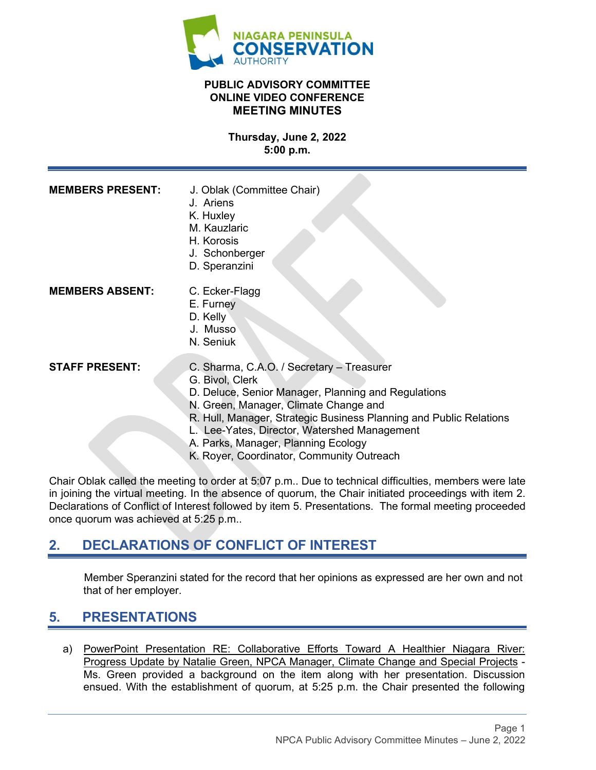

### **PUBLIC ADVISORY COMMITTEE ONLINE VIDEO CONFERENCE MEETING MINUTES**

**Thursday, June 2, 2022 5:00 p.m.**

| <b>MEMBERS PRESENT:</b> | J. Oblak (Committee Chair)<br>J. Ariens<br>K. Huxley<br>M. Kauzlaric<br>H. Korosis<br>J. Schonberger<br>D. Speranzini                                                                                                                                                                                                     |
|-------------------------|---------------------------------------------------------------------------------------------------------------------------------------------------------------------------------------------------------------------------------------------------------------------------------------------------------------------------|
| <b>MEMBERS ABSENT:</b>  | C. Ecker-Flagg<br>E. Furney<br>D. Kelly<br>J. Musso<br>N. Seniuk                                                                                                                                                                                                                                                          |
| <b>STAFF PRESENT:</b>   | C. Sharma, C.A.O. / Secretary - Treasurer<br>G. Bivol, Clerk<br>D. Deluce, Senior Manager, Planning and Regulations<br>N. Green, Manager, Climate Change and<br>R. Hull, Manager, Strategic Business Planning and Public Relations<br>L. Lee-Yates, Director, Watershed Management<br>A. Parks, Manager, Planning Ecology |

K. Royer, Coordinator, Community Outreach

Chair Oblak called the meeting to order at 5:07 p.m.. Due to technical difficulties, members were late in joining the virtual meeting. In the absence of quorum, the Chair initiated proceedings with item 2. Declarations of Conflict of Interest followed by item 5. Presentations. The formal meeting proceeded once quorum was achieved at 5:25 p.m..

# **2. DECLARATIONS OF CONFLICT OF INTEREST**

Member Speranzini stated for the record that her opinions as expressed are her own and not that of her employer.

## **5. PRESENTATIONS**

a) PowerPoint Presentation RE: Collaborative Efforts Toward A Healthier Niagara River: Progress Update by Natalie Green, NPCA Manager, Climate Change and Special Projects - Ms. Green provided a background on the item along with her presentation. Discussion ensued. With the establishment of quorum, at 5:25 p.m. the Chair presented the following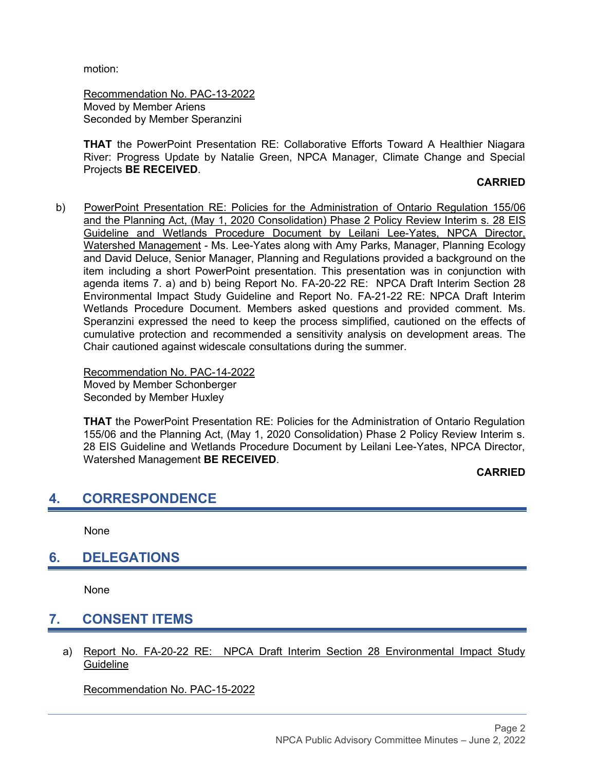motion:

Recommendation No. PAC-13-2022 Moved by Member Ariens Seconded by Member Speranzini

**THAT** the PowerPoint Presentation RE: Collaborative Efforts Toward A Healthier Niagara River: Progress Update by Natalie Green, NPCA Manager, Climate Change and Special Projects **BE RECEIVED**.

#### **CARRIED**

b) PowerPoint Presentation RE: Policies for the Administration of Ontario Regulation 155/06 and the Planning Act, (May 1, 2020 Consolidation) Phase 2 Policy Review Interim s. 28 EIS Guideline and Wetlands Procedure Document by Leilani Lee-Yates, NPCA Director, Watershed Management - Ms. Lee-Yates along with Amy Parks, Manager, Planning Ecology and David Deluce, Senior Manager, Planning and Regulations provided a background on the item including a short PowerPoint presentation. This presentation was in conjunction with agenda items 7. a) and b) being Report No. FA-20-22 RE: NPCA Draft Interim Section 28 Environmental Impact Study Guideline and Report No. FA-21-22 RE: NPCA Draft Interim Wetlands Procedure Document. Members asked questions and provided comment. Ms. Speranzini expressed the need to keep the process simplified, cautioned on the effects of cumulative protection and recommended a sensitivity analysis on development areas. The Chair cautioned against widescale consultations during the summer.

Recommendation No. PAC-14-2022 Moved by Member Schonberger Seconded by Member Huxley

**THAT** the PowerPoint Presentation RE: Policies for the Administration of Ontario Regulation 155/06 and the Planning Act, (May 1, 2020 Consolidation) Phase 2 Policy Review Interim s. 28 EIS Guideline and Wetlands Procedure Document by Leilani Lee-Yates, NPCA Director, Watershed Management **BE RECEIVED**.

#### **CARRIED**

### **4. CORRESPONDENCE**

None

## **6. DELEGATIONS**

None

# **7. CONSENT ITEMS**

a) Report No. FA-20-22 RE: NPCA Draft Interim Section 28 Environmental Impact Study **Guideline** 

Recommendation No. PAC-15-2022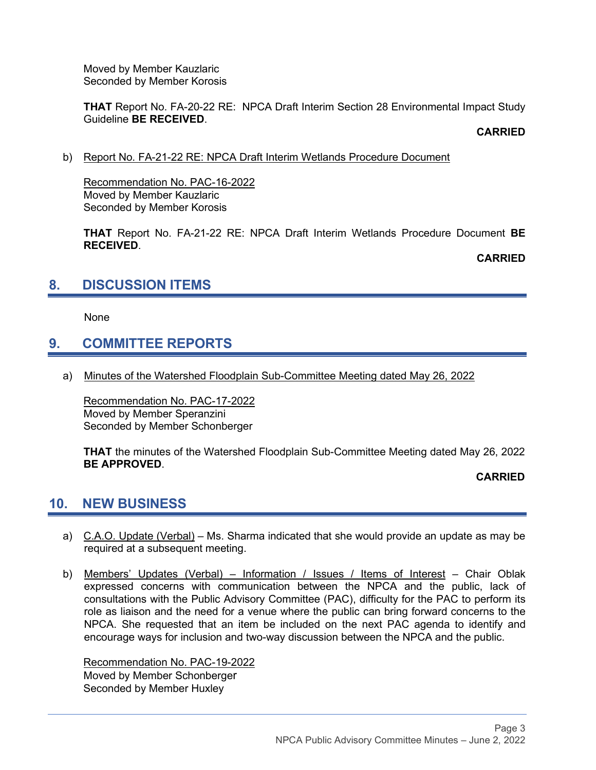Moved by Member Kauzlaric Seconded by Member Korosis

**THAT** Report No. FA-20-22 RE: NPCA Draft Interim Section 28 Environmental Impact Study Guideline **BE RECEIVED**.

**CARRIED**

#### b) Report No. FA-21-22 RE: NPCA Draft Interim Wetlands Procedure Document

Recommendation No. PAC-16-2022 Moved by Member Kauzlaric Seconded by Member Korosis

**THAT** Report No. FA-21-22 RE: NPCA Draft Interim Wetlands Procedure Document **BE RECEIVED**.

**CARRIED**

# **8. DISCUSSION ITEMS**

None

# **9. COMMITTEE REPORTS**

a) Minutes of the Watershed Floodplain Sub-Committee Meeting dated May 26, 2022

Recommendation No. PAC-17-2022 Moved by Member Speranzini Seconded by Member Schonberger

**THAT** the minutes of the Watershed Floodplain Sub-Committee Meeting dated May 26, 2022 **BE APPROVED**.

**CARRIED**

### **10. NEW BUSINESS**

- a) C.A.O. Update (Verbal) Ms. Sharma indicated that she would provide an update as may be required at a subsequent meeting.
- b) Members' Updates (Verbal) Information / Issues / Items of Interest Chair Oblak expressed concerns with communication between the NPCA and the public, lack of consultations with the Public Advisory Committee (PAC), difficulty for the PAC to perform its role as liaison and the need for a venue where the public can bring forward concerns to the NPCA. She requested that an item be included on the next PAC agenda to identify and encourage ways for inclusion and two-way discussion between the NPCA and the public.

Recommendation No. PAC-19-2022 Moved by Member Schonberger Seconded by Member Huxley